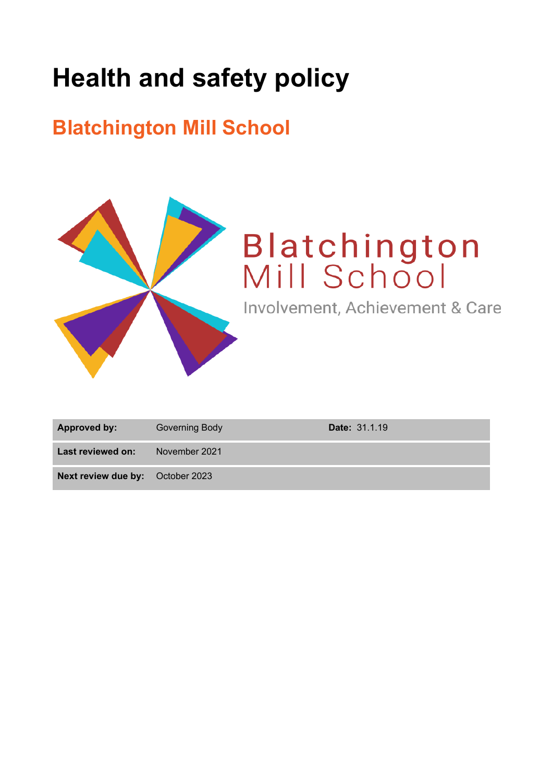# **Health and safety policy**

## **Blatchington Mill School**



| <b>Approved by:</b>                     | Governing Body | <b>Date: 31.1.19</b> |
|-----------------------------------------|----------------|----------------------|
| Last reviewed on:                       | November 2021  |                      |
| <b>Next review due by:</b> October 2023 |                |                      |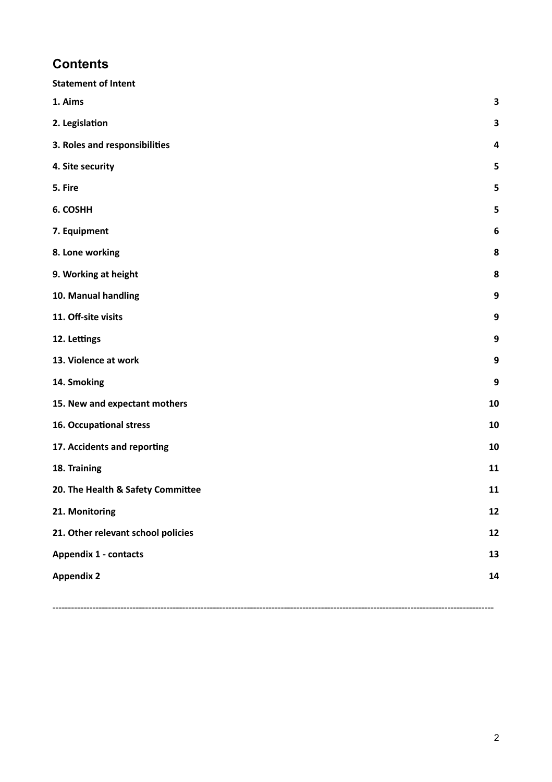### **Contents**

| <b>Statement of Intent</b>         |    |
|------------------------------------|----|
| 1. Aims                            | 3  |
| 2. Legislation                     | 3  |
| 3. Roles and responsibilities      | 4  |
| 4. Site security                   | 5  |
| 5. Fire                            | 5  |
| 6. COSHH                           | 5  |
| 7. Equipment                       | 6  |
| 8. Lone working                    | 8  |
| 9. Working at height               | 8  |
| 10. Manual handling                | 9  |
| 11. Off-site visits                | 9  |
| 12. Lettings                       | 9  |
| 13. Violence at work               | 9  |
| 14. Smoking                        | 9  |
| 15. New and expectant mothers      | 10 |
| 16. Occupational stress            | 10 |
| 17. Accidents and reporting        | 10 |
| 18. Training                       | 11 |
| 20. The Health & Safety Committee  | 11 |
| 21. Monitoring                     | 12 |
| 21. Other relevant school policies |    |
| <b>Appendix 1 - contacts</b>       |    |
| <b>Appendix 2</b>                  | 14 |
|                                    |    |

-----------------------------------------------------------------------------------------------------------------------------------------------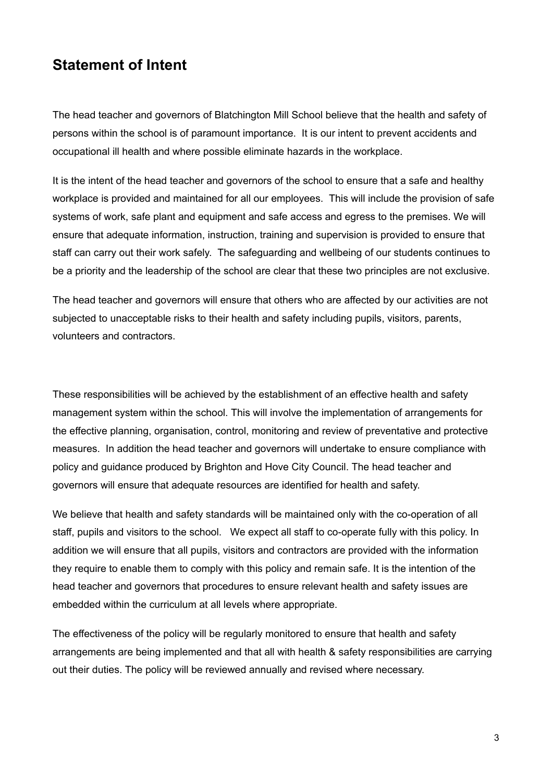### <span id="page-2-0"></span>**Statement of Intent**

The head teacher and governors of Blatchington Mill School believe that the health and safety of persons within the school is of paramount importance. It is our intent to prevent accidents and occupational ill health and where possible eliminate hazards in the workplace.

It is the intent of the head teacher and governors of the school to ensure that a safe and healthy workplace is provided and maintained for all our employees. This will include the provision of safe systems of work, safe plant and equipment and safe access and egress to the premises. We will ensure that adequate information, instruction, training and supervision is provided to ensure that staff can carry out their work safely. The safeguarding and wellbeing of our students continues to be a priority and the leadership of the school are clear that these two principles are not exclusive.

The head teacher and governors will ensure that others who are affected by our activities are not subjected to unacceptable risks to their health and safety including pupils, visitors, parents, volunteers and contractors.

These responsibilities will be achieved by the establishment of an effective health and safety management system within the school. This will involve the implementation of arrangements for the effective planning, organisation, control, monitoring and review of preventative and protective measures. In addition the head teacher and governors will undertake to ensure compliance with policy and guidance produced by Brighton and Hove City Council. The head teacher and governors will ensure that adequate resources are identified for health and safety.

We believe that health and safety standards will be maintained only with the co-operation of all staff, pupils and visitors to the school. We expect all staff to co-operate fully with this policy. In addition we will ensure that all pupils, visitors and contractors are provided with the information they require to enable them to comply with this policy and remain safe. It is the intention of the head teacher and governors that procedures to ensure relevant health and safety issues are embedded within the curriculum at all levels where appropriate.

The effectiveness of the policy will be regularly monitored to ensure that health and safety arrangements are being implemented and that all with health & safety responsibilities are carrying out their duties. The policy will be reviewed annually and revised where necessary.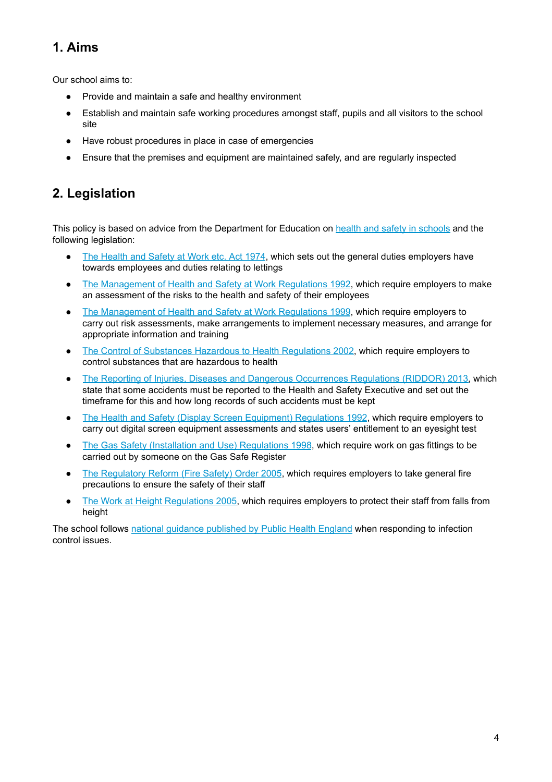### **1. Aims**

Our school aims to:

- Provide and maintain a safe and healthy environment
- Establish and maintain safe working procedures amongst staff, pupils and all visitors to the school site
- Have robust procedures in place in case of emergencies
- Ensure that the premises and equipment are maintained safely, and are regularly inspected

### <span id="page-3-0"></span>**2. Legislation**

This policy is based on advice from the Department for Education on health and safety in [schools](https://www.gov.uk/government/publications/health-and-safety-advice-for-schools) and the following legislation:

- The [Health](http://www.legislation.gov.uk/ukpga/1974/37) and Safety at Work etc. Act 1974, which sets out the general duties employers have towards employees and duties relating to lettings
- The [Management](http://www.legislation.gov.uk/uksi/1992/2051/regulation/3/made) of Health and Safety at Work Regulations 1992, which require employers to make an assessment of the risks to the health and safety of their employees
- The [Management](http://www.legislation.gov.uk/uksi/1999/3242/contents/made) of Health and Safety at Work Regulations 1999, which require employers to carry out risk assessments, make arrangements to implement necessary measures, and arrange for appropriate information and training
- The Control of Substances Hazardous to Health [Regulations](http://www.legislation.gov.uk/uksi/2002/2677/contents/made) 2002, which require employers to control substances that are hazardous to health
- The Reporting of Injuries, Diseases and Dangerous [Occurrences](http://www.legislation.gov.uk/uksi/2013/1471/schedule/1/paragraph/1/made) Regulations (RIDDOR) 2013, which state that some accidents must be reported to the Health and Safety Executive and set out the timeframe for this and how long records of such accidents must be kept
- The Health and Safety (Display Screen Equipment) [Regulations](http://www.legislation.gov.uk/uksi/1992/2792/contents/made) 1992, which require employers to carry out digital screen equipment assessments and states users' entitlement to an eyesight test
- The Gas Safety (Installation and Use) [Regulations](http://www.legislation.gov.uk/uksi/1998/2451/regulation/4/made) 1998, which require work on gas fittings to be carried out by someone on the Gas Safe Register
- The [Regulatory](http://www.legislation.gov.uk/uksi/2005/1541/part/2/made) Reform (Fire Safety) Order 2005, which requires employers to take general fire precautions to ensure the safety of their staff
- The Work at Height [Regulations](http://www.legislation.gov.uk/uksi/2005/735/contents/made) 2005, which requires employers to protect their staff from falls from height

The school follows national guidance [published](https://www.gov.uk/government/publications/health-protection-in-schools-and-other-childcare-facilities/chapter-9-managing-specific-infectious-diseases) by Public Health England when responding to infection control issues.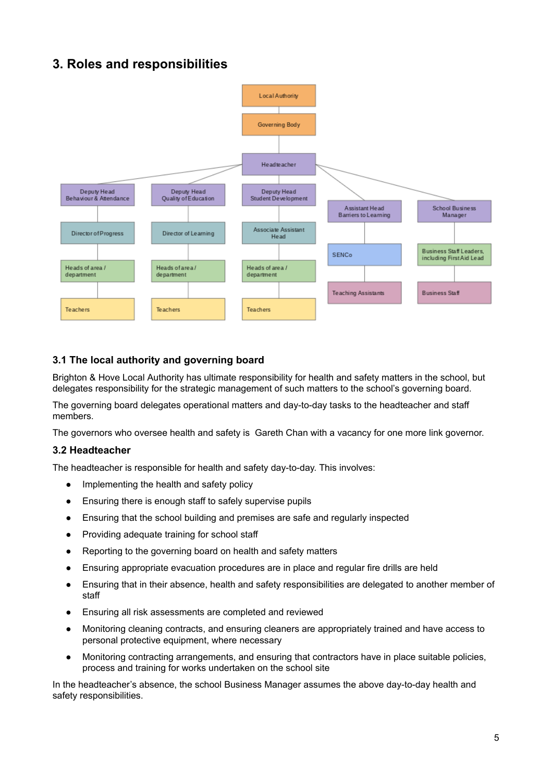### <span id="page-4-0"></span>**3. Roles and responsibilities**



#### **3.1 The local authority and governing board**

Brighton & Hove Local Authority has ultimate responsibility for health and safety matters in the school, but delegates responsibility for the strategic management of such matters to the school's governing board.

The governing board delegates operational matters and day-to-day tasks to the headteacher and staff members.

The governors who oversee health and safety is Gareth Chan with a vacancy for one more link governor.

#### **3.2 Headteacher**

The headteacher is responsible for health and safety day-to-day. This involves:

- Implementing the health and safety policy
- Ensuring there is enough staff to safely supervise pupils
- Ensuring that the school building and premises are safe and regularly inspected
- Providing adequate training for school staff
- Reporting to the governing board on health and safety matters
- Ensuring appropriate evacuation procedures are in place and regular fire drills are held
- Ensuring that in their absence, health and safety responsibilities are delegated to another member of staff
- Ensuring all risk assessments are completed and reviewed
- Monitoring cleaning contracts, and ensuring cleaners are appropriately trained and have access to personal protective equipment, where necessary
- Monitoring contracting arrangements, and ensuring that contractors have in place suitable policies, process and training for works undertaken on the school site

In the headteacher's absence, the school Business Manager assumes the above day-to-day health and safety responsibilities.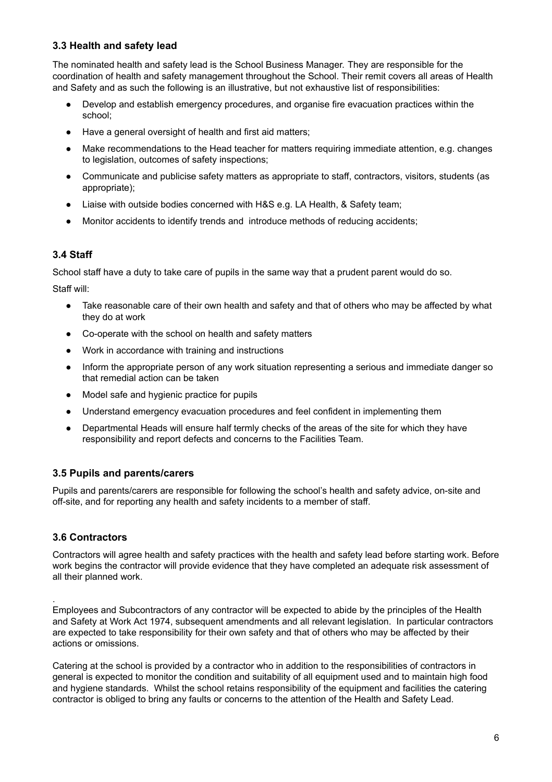#### **3.3 Health and safety lead**

The nominated health and safety lead is the School Business Manager. They are responsible for the coordination of health and safety management throughout the School. Their remit covers all areas of Health and Safety and as such the following is an illustrative, but not exhaustive list of responsibilities:

- Develop and establish emergency procedures, and organise fire evacuation practices within the school;
- Have a general oversight of health and first aid matters;
- Make recommendations to the Head teacher for matters requiring immediate attention, e.g. changes to legislation, outcomes of safety inspections;
- Communicate and publicise safety matters as appropriate to staff, contractors, visitors, students (as appropriate);
- Liaise with outside bodies concerned with H&S e.g. LA Health, & Safety team;
- Monitor accidents to identify trends and introduce methods of reducing accidents;

#### **3.4 Staff**

School staff have a duty to take care of pupils in the same way that a prudent parent would do so.

Staff will:

- Take reasonable care of their own health and safety and that of others who may be affected by what they do at work
- Co-operate with the school on health and safety matters
- Work in accordance with training and instructions
- Inform the appropriate person of any work situation representing a serious and immediate danger so that remedial action can be taken
- Model safe and hygienic practice for pupils
- Understand emergency evacuation procedures and feel confident in implementing them
- Departmental Heads will ensure half termly checks of the areas of the site for which they have responsibility and report defects and concerns to the Facilities Team.

#### **3.5 Pupils and parents/carers**

Pupils and parents/carers are responsible for following the school's health and safety advice, on-site and off-site, and for reporting any health and safety incidents to a member of staff.

#### **3.6 Contractors**

.

Contractors will agree health and safety practices with the health and safety lead before starting work. Before work begins the contractor will provide evidence that they have completed an adequate risk assessment of all their planned work.

Employees and Subcontractors of any contractor will be expected to abide by the principles of the Health and Safety at Work Act 1974, subsequent amendments and all relevant legislation. In particular contractors are expected to take responsibility for their own safety and that of others who may be affected by their actions or omissions.

Catering at the school is provided by a contractor who in addition to the responsibilities of contractors in general is expected to monitor the condition and suitability of all equipment used and to maintain high food and hygiene standards. Whilst the school retains responsibility of the equipment and facilities the catering contractor is obliged to bring any faults or concerns to the attention of the Health and Safety Lead.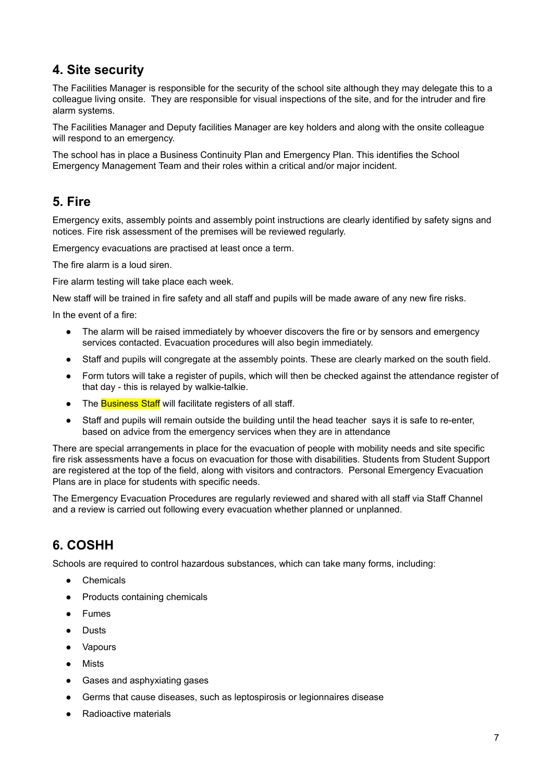### <span id="page-6-0"></span>**4. Site security**

The Facilities Manager is responsible for the security of the school site although they may delegate this to a colleague living onsite. They are responsible for visual inspections of the site, and for the intruder and fire alarm systems.

The Facilities Manager and Deputy facilities Manager are key holders and along with the onsite colleague will respond to an emergency.

The school has in place a Business Continuity Plan and Emergency Plan. This identifies the School Emergency Management Team and their roles within a critical and/or major incident.

### <span id="page-6-1"></span>**5. Fire**

Emergency exits, assembly points and assembly point instructions are clearly identified by safety signs and notices. Fire risk assessment of the premises will be reviewed regularly.

Emergency evacuations are practised at least once a term.

The fire alarm is a loud siren.

Fire alarm testing will take place each week.

New staff will be trained in fire safety and all staff and pupils will be made aware of any new fire risks.

In the event of a fire:

- The alarm will be raised immediately by whoever discovers the fire or by sensors and emergency services contacted. Evacuation procedures will also begin immediately.
- Staff and pupils will congregate at the assembly points. These are clearly marked on the south field.
- Form tutors will take a register of pupils, which will then be checked against the attendance register of that day - this is relayed by walkie-talkie.
- The Business Staff will facilitate registers of all staff.
- Staff and pupils will remain outside the building until the head teacher says it is safe to re-enter, based on advice from the emergency services when they are in attendance

There are special arrangements in place for the evacuation of people with mobility needs and site specific fire risk assessments have a focus on evacuation for those with disabilities. Students from Student Support are registered at the top of the field, along with visitors and contractors. Personal Emergency Evacuation Plans are in place for students with specific needs.

The Emergency Evacuation Procedures are regularly reviewed and shared with all staff via Staff Channel and a review is carried out following every evacuation whether planned or unplanned.

### <span id="page-6-2"></span>**6. COSHH**

Schools are required to control hazardous substances, which can take many forms, including:

- Chemicals
- Products containing chemicals
- Fumes
- **Dusts**
- Vapours
- Mists
- Gases and asphyxiating gases
- Germs that cause diseases, such as leptospirosis or legionnaires disease
- **Radioactive materials**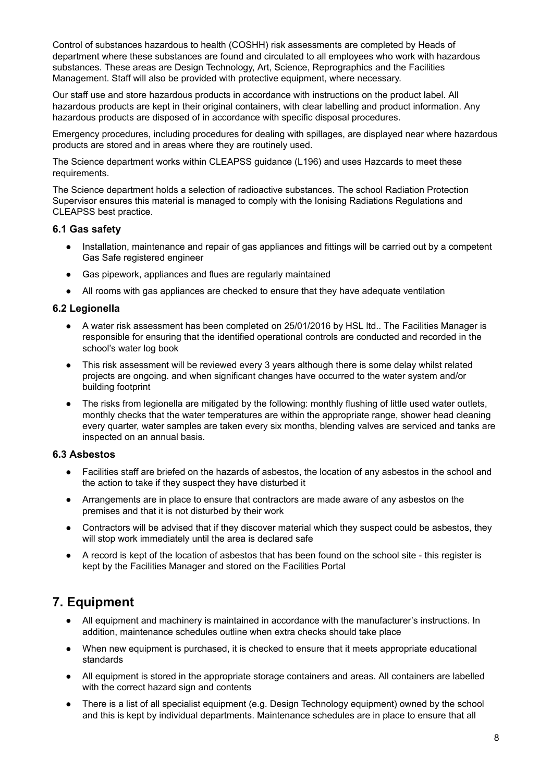Control of substances hazardous to health (COSHH) risk assessments are completed by Heads of department where these substances are found and circulated to all employees who work with hazardous substances. These areas are Design Technology, Art, Science, Reprographics and the Facilities Management. Staff will also be provided with protective equipment, where necessary.

Our staff use and store hazardous products in accordance with instructions on the product label. All hazardous products are kept in their original containers, with clear labelling and product information. Any hazardous products are disposed of in accordance with specific disposal procedures.

Emergency procedures, including procedures for dealing with spillages, are displayed near where hazardous products are stored and in areas where they are routinely used.

The Science department works within CLEAPSS guidance (L196) and uses Hazcards to meet these requirements.

The Science department holds a selection of radioactive substances. The school Radiation Protection Supervisor ensures this material is managed to comply with the Ionising Radiations Regulations and CLEAPSS best practice.

#### **6.1 Gas safety**

- Installation, maintenance and repair of gas appliances and fittings will be carried out by a competent Gas Safe registered engineer
- Gas pipework, appliances and flues are regularly maintained
- All rooms with gas appliances are checked to ensure that they have adequate ventilation

#### **6.2 Legionella**

- A water risk assessment has been completed on 25/01/2016 by HSL ltd.. The Facilities Manager is responsible for ensuring that the identified operational controls are conducted and recorded in the school's water log book
- This risk assessment will be reviewed every 3 years although there is some delay whilst related projects are ongoing. and when significant changes have occurred to the water system and/or building footprint
- The risks from legionella are mitigated by the following: monthly flushing of little used water outlets, monthly checks that the water temperatures are within the appropriate range, shower head cleaning every quarter, water samples are taken every six months, blending valves are serviced and tanks are inspected on an annual basis.

#### **6.3 Asbestos**

- Facilities staff are briefed on the hazards of asbestos, the location of any asbestos in the school and the action to take if they suspect they have disturbed it
- Arrangements are in place to ensure that contractors are made aware of any asbestos on the premises and that it is not disturbed by their work
- Contractors will be advised that if they discover material which they suspect could be asbestos, they will stop work immediately until the area is declared safe
- A record is kept of the location of asbestos that has been found on the school site this register is kept by the Facilities Manager and stored on the Facilities Portal

### <span id="page-7-0"></span>**7. Equipment**

- All equipment and machinery is maintained in accordance with the manufacturer's instructions. In addition, maintenance schedules outline when extra checks should take place
- When new equipment is purchased, it is checked to ensure that it meets appropriate educational standards
- All equipment is stored in the appropriate storage containers and areas. All containers are labelled with the correct hazard sign and contents
- There is a list of all specialist equipment (e.g. Design Technology equipment) owned by the school and this is kept by individual departments. Maintenance schedules are in place to ensure that all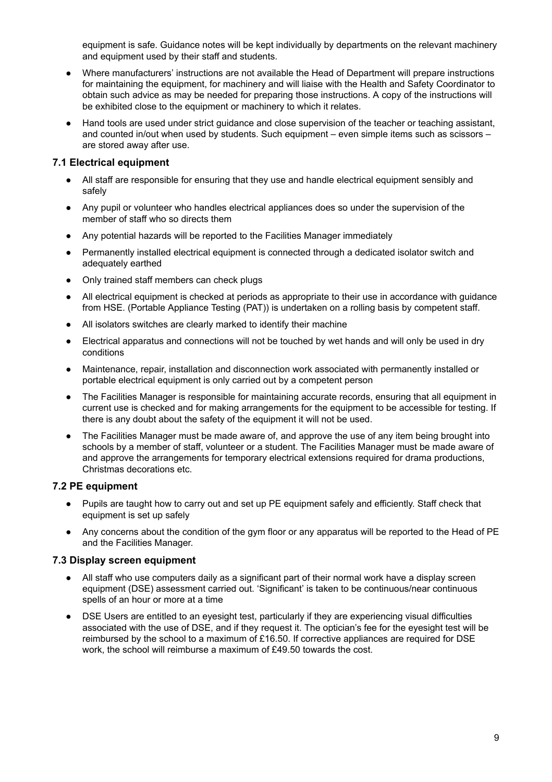equipment is safe. Guidance notes will be kept individually by departments on the relevant machinery and equipment used by their staff and students.

- Where manufacturers' instructions are not available the Head of Department will prepare instructions for maintaining the equipment, for machinery and will liaise with the Health and Safety Coordinator to obtain such advice as may be needed for preparing those instructions. A copy of the instructions will be exhibited close to the equipment or machinery to which it relates.
- Hand tools are used under strict guidance and close supervision of the teacher or teaching assistant, and counted in/out when used by students. Such equipment – even simple items such as scissors – are stored away after use.

#### **7.1 Electrical equipment**

- All staff are responsible for ensuring that they use and handle electrical equipment sensibly and safely
- Any pupil or volunteer who handles electrical appliances does so under the supervision of the member of staff who so directs them
- Any potential hazards will be reported to the Facilities Manager immediately
- Permanently installed electrical equipment is connected through a dedicated isolator switch and adequately earthed
- Only trained staff members can check plugs
- All electrical equipment is checked at periods as appropriate to their use in accordance with guidance from HSE. (Portable Appliance Testing (PAT)) is undertaken on a rolling basis by competent staff.
- All isolators switches are clearly marked to identify their machine
- Electrical apparatus and connections will not be touched by wet hands and will only be used in dry conditions
- Maintenance, repair, installation and disconnection work associated with permanently installed or portable electrical equipment is only carried out by a competent person
- The Facilities Manager is responsible for maintaining accurate records, ensuring that all equipment in current use is checked and for making arrangements for the equipment to be accessible for testing. If there is any doubt about the safety of the equipment it will not be used.
- The Facilities Manager must be made aware of, and approve the use of any item being brought into schools by a member of staff, volunteer or a student. The Facilities Manager must be made aware of and approve the arrangements for temporary electrical extensions required for drama productions, Christmas decorations etc.

#### **7.2 PE equipment**

- Pupils are taught how to carry out and set up PE equipment safely and efficiently. Staff check that equipment is set up safely
- Any concerns about the condition of the gym floor or any apparatus will be reported to the Head of PE and the Facilities Manager.

#### **7.3 Display screen equipment**

- All staff who use computers daily as a significant part of their normal work have a display screen equipment (DSE) assessment carried out. 'Significant' is taken to be continuous/near continuous spells of an hour or more at a time
- DSE Users are entitled to an eyesight test, particularly if they are experiencing visual difficulties associated with the use of DSE, and if they request it. The optician's fee for the eyesight test will be reimbursed by the school to a maximum of £16.50. If corrective appliances are required for DSE work, the school will reimburse a maximum of £49.50 towards the cost.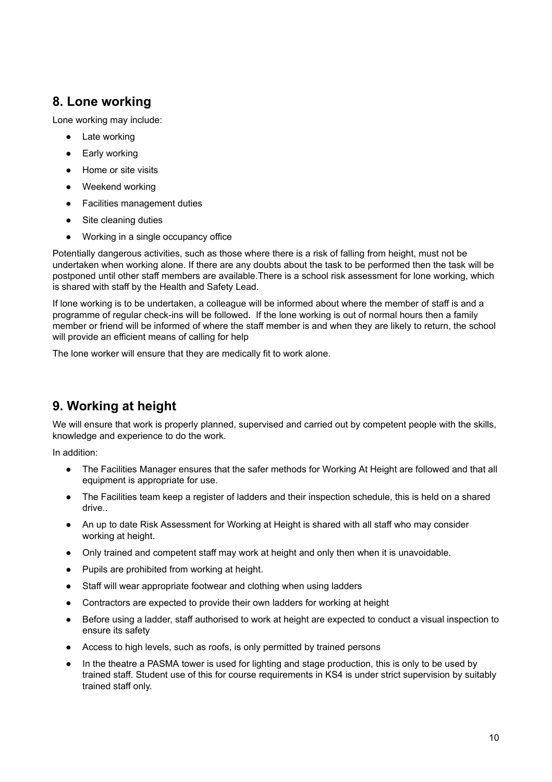### <span id="page-9-0"></span>**8. Lone working**

Lone working may include:

- Late working
- Early working
- Home or site visits
- Weekend working
- Facilities management duties
- Site cleaning duties
- Working in a single occupancy office

Potentially dangerous activities, such as those where there is a risk of falling from height, must not be undertaken when working alone. If there are any doubts about the task to be performed then the task will be postponed until other staff members are available.There is a school risk assessment for lone working, which is shared with staff by the Health and Safety Lead.

If lone working is to be undertaken, a colleague will be informed about where the member of staff is and a programme of regular check-ins will be followed. If the lone working is out of normal hours then a family member or friend will be informed of where the staff member is and when they are likely to return, the school will provide an efficient means of calling for help

The lone worker will ensure that they are medically fit to work alone.

### <span id="page-9-1"></span>**9. Working at height**

We will ensure that work is properly planned, supervised and carried out by competent people with the skills, knowledge and experience to do the work.

In addition:

- The Facilities Manager ensures that the safer methods for Working At Height are followed and that all equipment is appropriate for use.
- The Facilities team keep a register of ladders and their inspection schedule, this is held on a shared drive..
- An up to date Risk Assessment for Working at Height is shared with all staff who may consider working at height.
- Only trained and competent staff may work at height and only then when it is unavoidable.
- Pupils are prohibited from working at height.
- Staff will wear appropriate footwear and clothing when using ladders
- Contractors are expected to provide their own ladders for working at height
- Before using a ladder, staff authorised to work at height are expected to conduct a visual inspection to ensure its safety
- Access to high levels, such as roofs, is only permitted by trained persons
- In the theatre a PASMA tower is used for lighting and stage production, this is only to be used by trained staff. Student use of this for course requirements in KS4 is under strict supervision by suitably trained staff only.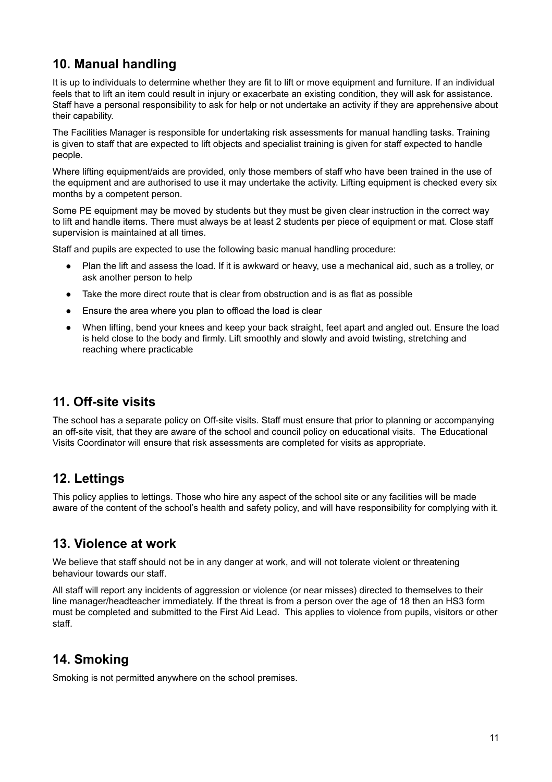### <span id="page-10-0"></span>**10. Manual handling**

It is up to individuals to determine whether they are fit to lift or move equipment and furniture. If an individual feels that to lift an item could result in injury or exacerbate an existing condition, they will ask for assistance. Staff have a personal responsibility to ask for help or not undertake an activity if they are apprehensive about their capability.

The Facilities Manager is responsible for undertaking risk assessments for manual handling tasks. Training is given to staff that are expected to lift objects and specialist training is given for staff expected to handle people.

Where lifting equipment/aids are provided, only those members of staff who have been trained in the use of the equipment and are authorised to use it may undertake the activity. Lifting equipment is checked every six months by a competent person.

Some PE equipment may be moved by students but they must be given clear instruction in the correct way to lift and handle items. There must always be at least 2 students per piece of equipment or mat. Close staff supervision is maintained at all times.

Staff and pupils are expected to use the following basic manual handling procedure:

- Plan the lift and assess the load. If it is awkward or heavy, use a mechanical aid, such as a trolley, or ask another person to help
- Take the more direct route that is clear from obstruction and is as flat as possible
- Ensure the area where you plan to offload the load is clear
- When lifting, bend your knees and keep your back straight, feet apart and angled out. Ensure the load is held close to the body and firmly. Lift smoothly and slowly and avoid twisting, stretching and reaching where practicable

### <span id="page-10-1"></span>**11. Off-site visits**

The school has a separate policy on Off-site visits. Staff must ensure that prior to planning or accompanying an off-site visit, that they are aware of the school and council policy on educational visits. The Educational Visits Coordinator will ensure that risk assessments are completed for visits as appropriate.

### <span id="page-10-2"></span>**12. Lettings**

This policy applies to lettings. Those who hire any aspect of the school site or any facilities will be made aware of the content of the school's health and safety policy, and will have responsibility for complying with it.

### <span id="page-10-3"></span>**13. Violence at work**

We believe that staff should not be in any danger at work, and will not tolerate violent or threatening behaviour towards our staff.

All staff will report any incidents of aggression or violence (or near misses) directed to themselves to their line manager/headteacher immediately. If the threat is from a person over the age of 18 then an HS3 form must be completed and submitted to the First Aid Lead. This applies to violence from pupils, visitors or other staff.

### <span id="page-10-4"></span>**14. Smoking**

Smoking is not permitted anywhere on the school premises.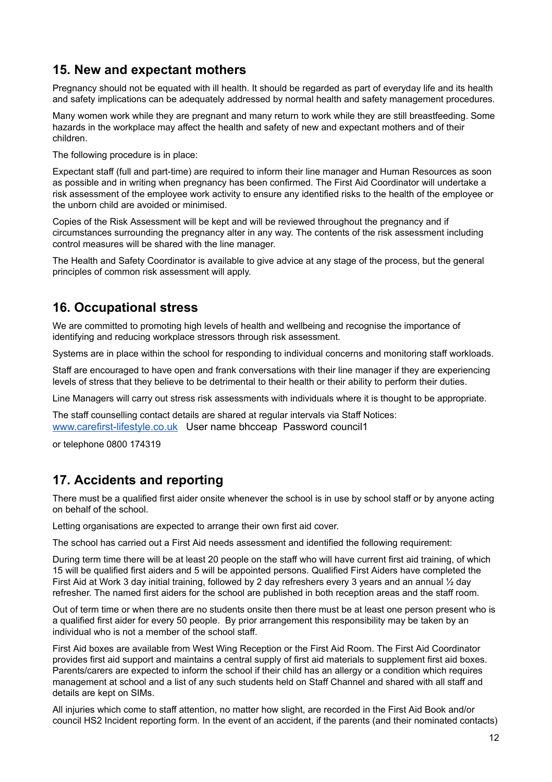### <span id="page-11-0"></span>**15. New and expectant mothers**

Pregnancy should not be equated with ill health. It should be regarded as part of everyday life and its health and safety implications can be adequately addressed by normal health and safety management procedures.

Many women work while they are pregnant and many return to work while they are still breastfeeding. Some hazards in the workplace may affect the health and safety of new and expectant mothers and of their children.

The following procedure is in place:

Expectant staff (full and part-time) are required to inform their line manager and Human Resources as soon as possible and in writing when pregnancy has been confirmed. The First Aid Coordinator will undertake a risk assessment of the employee work activity to ensure any identified risks to the health of the employee or the unborn child are avoided or minimised.

Copies of the Risk Assessment will be kept and will be reviewed throughout the pregnancy and if circumstances surrounding the pregnancy alter in any way. The contents of the risk assessment including control measures will be shared with the line manager.

The Health and Safety Coordinator is available to give advice at any stage of the process, but the general principles of common risk assessment will apply.

### <span id="page-11-1"></span>**16. Occupational stress**

We are committed to promoting high levels of health and wellbeing and recognise the importance of identifying and reducing workplace stressors through risk assessment.

Systems are in place within the school for responding to individual concerns and monitoring staff workloads.

Staff are encouraged to have open and frank conversations with their line manager if they are experiencing levels of stress that they believe to be detrimental to their health or their ability to perform their duties.

Line Managers will carry out stress risk assessments with individuals where it is thought to be appropriate.

The staff counselling contact details are shared at regular intervals via Staff Notices: [www.carefirst-lifestyle.co.uk](http://www.carefirst-lifestyle.co.uk/) User name bhcceap Password council1

<span id="page-11-2"></span>or telephone 0800 174319

### **17. Accidents and reporting**

There must be a qualified first aider onsite whenever the school is in use by school staff or by anyone acting on behalf of the school.

Letting organisations are expected to arrange their own first aid cover.

The school has carried out a First Aid needs assessment and identified the following requirement:

During term time there will be at least 20 people on the staff who will have current first aid training, of which 15 will be qualified first aiders and 5 will be appointed persons. Qualified First Aiders have completed the First Aid at Work 3 day initial training, followed by 2 day refreshers every 3 years and an annual ½ day refresher. The named first aiders for the school are published in both reception areas and the staff room.

Out of term time or when there are no students onsite then there must be at least one person present who is a qualified first aider for every 50 people. By prior arrangement this responsibility may be taken by an individual who is not a member of the school staff.

First Aid boxes are available from West Wing Reception or the First Aid Room. The First Aid Coordinator provides first aid support and maintains a central supply of first aid materials to supplement first aid boxes. Parents/carers are expected to inform the school if their child has an allergy or a condition which requires management at school and a list of any such students held on Staff Channel and shared with all staff and details are kept on SIMs.

All injuries which come to staff attention, no matter how slight, are recorded in the First Aid Book and/or council HS2 Incident reporting form. In the event of an accident, if the parents (and their nominated contacts)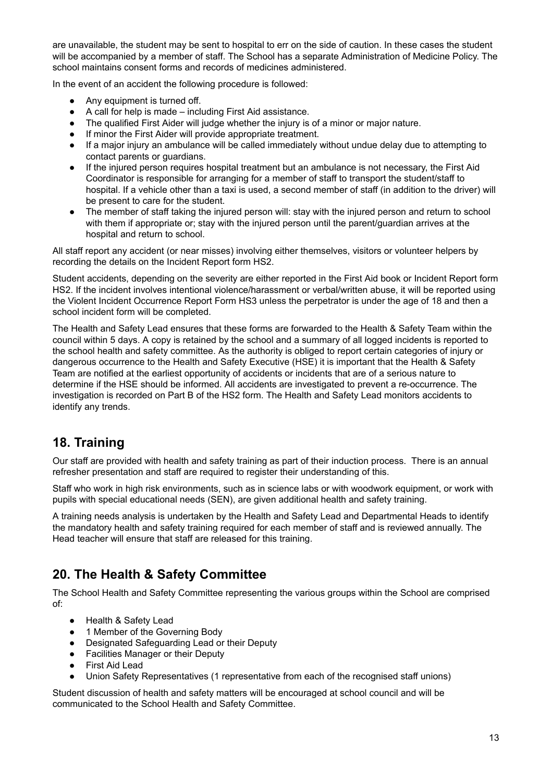are unavailable, the student may be sent to hospital to err on the side of caution. In these cases the student will be accompanied by a member of staff. The School has a separate Administration of Medicine Policy. The school maintains consent forms and records of medicines administered.

In the event of an accident the following procedure is followed:

- Any equipment is turned off.
- A call for help is made including First Aid assistance.
- The qualified First Aider will judge whether the injury is of a minor or major nature.
- If minor the First Aider will provide appropriate treatment.
- If a major injury an ambulance will be called immediately without undue delay due to attempting to contact parents or guardians.
- If the injured person requires hospital treatment but an ambulance is not necessary, the First Aid Coordinator is responsible for arranging for a member of staff to transport the student/staff to hospital. If a vehicle other than a taxi is used, a second member of staff (in addition to the driver) will be present to care for the student.
- The member of staff taking the injured person will: stay with the injured person and return to school with them if appropriate or; stay with the injured person until the parent/guardian arrives at the hospital and return to school.

All staff report any accident (or near misses) involving either themselves, visitors or volunteer helpers by recording the details on the Incident Report form HS2.

Student accidents, depending on the severity are either reported in the First Aid book or Incident Report form HS2. If the incident involves intentional violence/harassment or verbal/written abuse, it will be reported using the Violent Incident Occurrence Report Form HS3 unless the perpetrator is under the age of 18 and then a school incident form will be completed.

The Health and Safety Lead ensures that these forms are forwarded to the Health & Safety Team within the council within 5 days. A copy is retained by the school and a summary of all logged incidents is reported to the school health and safety committee. As the authority is obliged to report certain categories of injury or dangerous occurrence to the Health and Safety Executive (HSE) it is important that the Health & Safety Team are notified at the earliest opportunity of accidents or incidents that are of a serious nature to determine if the HSE should be informed. All accidents are investigated to prevent a re-occurrence. The investigation is recorded on Part B of the HS2 form. The Health and Safety Lead monitors accidents to identify any trends.

### <span id="page-12-0"></span>**18. Training**

Our staff are provided with health and safety training as part of their induction process. There is an annual refresher presentation and staff are required to register their understanding of this.

Staff who work in high risk environments, such as in science labs or with woodwork equipment, or work with pupils with special educational needs (SEN), are given additional health and safety training.

A training needs analysis is undertaken by the Health and Safety Lead and Departmental Heads to identify the mandatory health and safety training required for each member of staff and is reviewed annually. The Head teacher will ensure that staff are released for this training.

### <span id="page-12-1"></span>**20. The Health & Safety Committee**

The School Health and Safety Committee representing the various groups within the School are comprised of:

- Health & Safety Lead
- 1 Member of the Governing Body
- Designated Safeguarding Lead or their Deputy
- Facilities Manager or their Deputy
- First Aid Lead
- Union Safety Representatives (1 representative from each of the recognised staff unions)

Student discussion of health and safety matters will be encouraged at school council and will be communicated to the School Health and Safety Committee.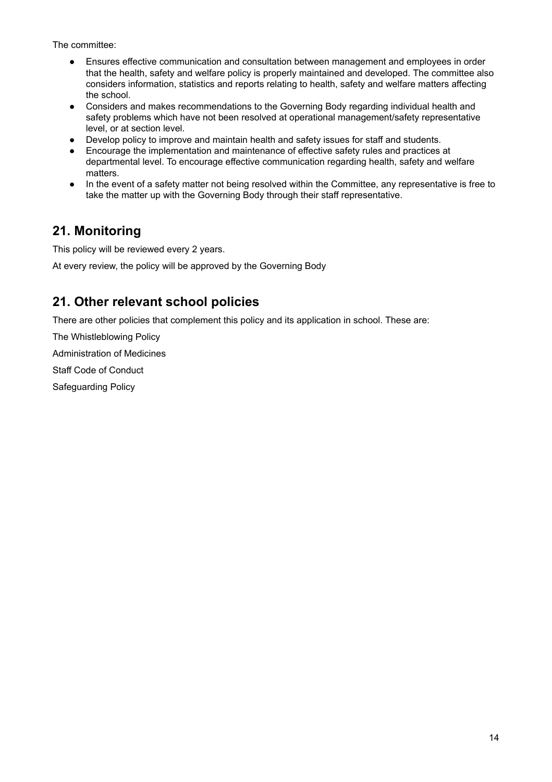The committee:

- Ensures effective communication and consultation between management and employees in order that the health, safety and welfare policy is properly maintained and developed. The committee also considers information, statistics and reports relating to health, safety and welfare matters affecting the school.
- Considers and makes recommendations to the Governing Body regarding individual health and safety problems which have not been resolved at operational management/safety representative level, or at section level.
- Develop policy to improve and maintain health and safety issues for staff and students.
- Encourage the implementation and maintenance of effective safety rules and practices at departmental level. To encourage effective communication regarding health, safety and welfare matters.
- In the event of a safety matter not being resolved within the Committee, any representative is free to take the matter up with the Governing Body through their staff representative.

### <span id="page-13-0"></span>**21. Monitoring**

This policy will be reviewed every 2 years.

<span id="page-13-1"></span>At every review, the policy will be approved by the Governing Body

### **21. Other relevant school policies**

There are other policies that complement this policy and its application in school. These are:

The Whistleblowing Policy

Administration of Medicines

Staff Code of Conduct

Safeguarding Policy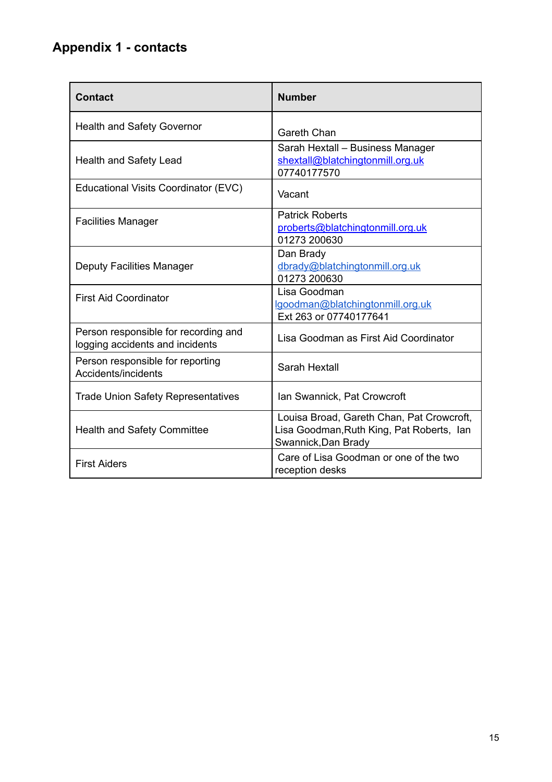### <span id="page-14-0"></span>**Appendix 1 - contacts**

| <b>Contact</b>                                                          | <b>Number</b>                                                                                                 |  |
|-------------------------------------------------------------------------|---------------------------------------------------------------------------------------------------------------|--|
| <b>Health and Safety Governor</b>                                       | <b>Gareth Chan</b>                                                                                            |  |
| <b>Health and Safety Lead</b>                                           | Sarah Hextall - Business Manager<br>shextall@blatchingtonmill.org.uk<br>07740177570                           |  |
| Educational Visits Coordinator (EVC)                                    | Vacant                                                                                                        |  |
| <b>Facilities Manager</b>                                               | <b>Patrick Roberts</b><br>proberts@blatchingtonmill.org.uk<br>01273 200630                                    |  |
| <b>Deputy Facilities Manager</b>                                        | Dan Brady<br>dbrady@blatchingtonmill.org.uk<br>01273 200630                                                   |  |
| <b>First Aid Coordinator</b>                                            | Lisa Goodman<br>lgoodman@blatchingtonmill.org.uk<br>Ext 263 or 07740177641                                    |  |
| Person responsible for recording and<br>logging accidents and incidents | Lisa Goodman as First Aid Coordinator                                                                         |  |
| Person responsible for reporting<br>Accidents/incidents                 | Sarah Hextall                                                                                                 |  |
| <b>Trade Union Safety Representatives</b>                               | Ian Swannick, Pat Crowcroft                                                                                   |  |
| <b>Health and Safety Committee</b>                                      | Louisa Broad, Gareth Chan, Pat Crowcroft,<br>Lisa Goodman, Ruth King, Pat Roberts, Ian<br>Swannick, Dan Brady |  |
| <b>First Aiders</b>                                                     | Care of Lisa Goodman or one of the two<br>reception desks                                                     |  |